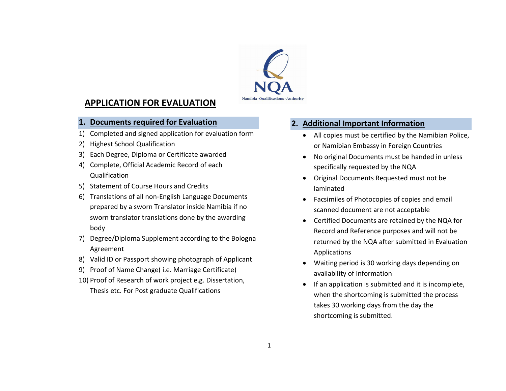

## APPLICATION FOR EVALUATION

#### 1. Documents required for Evaluation

- 1) Completed and signed application for evaluation form
- 2) Highest School Qualification
- 3) Each Degree, Diploma or Certificate awarded
- 4) Complete, Official Academic Record of each Qualification
- 5) Statement of Course Hours and Credits
- 6) Translations of all non-English Language Documents prepared by a sworn Translator inside Namibia if no sworn translator translations done by the awarding body
- 7) Degree/Diploma Supplement according to the Bologna Agreement
- 8) Valid ID or Passport showing photograph of Applicant
- 9) Proof of Name Change( i.e. Marriage Certificate)
- 10) Proof of Research of work project e.g. Dissertation, Thesis etc. For Post graduate Qualifications

# 2. Additional Important Information

- All copies must be certified by the Namibian Police, or Namibian Embassy in Foreign Countries
- No original Documents must be handed in unless specifically requested by the NQA
- Original Documents Requested must not be laminated
- Facsimiles of Photocopies of copies and email scanned document are not acceptable
- Certified Documents are retained by the NQA for Record and Reference purposes and will not be returned by the NQA after submitted in Evaluation Applications
- Waiting period is 30 working days depending on availability of Information
- If an application is submitted and it is incomplete, when the shortcoming is submitted the process takes 30 working days from the day the shortcoming is submitted.